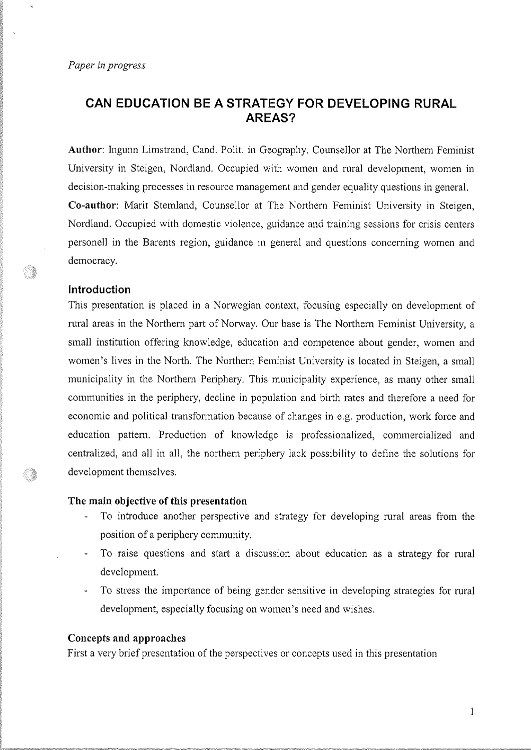# CAN EDUGATION BE A STRATEGY FOR DEVELOPING RURAL AREAS?

Author: Ingunn Limstrand, Cand. Polit. in Geography. Counsellor at The Northern Feminist University in Steigen, Nordland. Occupied with women and rural development, women in decision-making processes in resource management and gender equality questions in general. Co-author: Marit Stemland, Counsellor at The Northem Feminist University in Steigen, Nordland. Occupied with domestic violence, guidance and training sessions for crisis centers personell in the Barents region, guidance in general and questions concerning women and democracy.

#### lntroduction

S.

o)

This presentation is placed in a Norwegian context, focusing especially on development of rural areas in the Northern part of Norway. Our base is The Northern Feminist University, a small institution offering knowledge, education and competence about gender, women and women's lives in the North. The Northern Feminist University is located in Steigen, a small municipality in the Northern Periphery. This municipality experience, as many other small communities in the periphery, decline in population and birth rates and therefore a need for economic and political transformation because of changes in e.g. production, work force and education pattem. Production of knowledge is professionalized, commercialized and centralized, and all in all, the northern periphery lack possibility to define the solutions for development themselves.

#### The main objective of this presentation

- To introduce another perspective and strategy for developing rural areas from the position of a periphery community.
- To raise questions and start a discussion about education as a strategy for rural development.
- To stress the importance of being gender sensitive in developing strategies for rural development, especially focusing on women's need and wishes.

#### Concepts and approaches

First a very brief presentation of the perspectives or concepts used in this presentation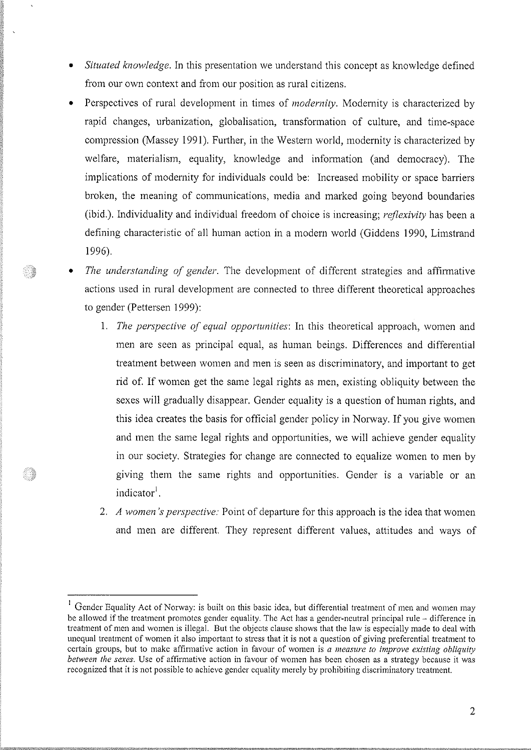- Situated knowledge. In this presentation we understand this concept as knowledge defined from our own context and from our position as rural citizens.
- Perspectives of rural development in times of *modernity*. Modernity is characterized by rapid changes, urbanization, globalisation, transformation of culture, and time-space compression (Massey 1991). Further, in the Western world, modernity is characterized by welfare, materialism, equality, knowledge and information (and democracy). The implications of modernity for individuals could be: Increased mobility or space barriers broken, the meaning of communications, media and marked going beyond boundaries (ibid.). Individuality and individual freedom of choice is increasing; reflexivity has been a defining characteristic of all human action in a modern world (Giddens 1990, Limstrand 1996).
- The understanding of gender. The development of different strategies and affirmative actions used in rural development are connected to three different theoretical approaches to gender (Pettersen 1999):

)<br>1988

o K

- 1. The perspective of equal opportunities: In this theoretical approach, women and men are seen as principal equal, as human beings. Differences and differential treatment between women and men is seen as discriminatory, and important to get rid of. If women get the same legal rights as men, existing obliquity between the sexes will gradually disappear. Gender equality is a question of human rights, and this idea creates the basis for official gender policy in Norway. If you give women and men the same legal rights and opportunities, we will achieve gender equality in our society. Strategies for change are connected to equalize women to men by giving them the same rights and opportunities. Gender is a variable or an indicator<sup>1</sup>.
- 2. A women's perspective: Point of departure for this approach is the idea that women and men are different. They represent different values, attitudes and ways of

Gender Equality Act of Norway: is built on this basic idea, but differential treatment of men and women may be allowed if the treatment promotes gender equality. The Act has a gender-neutral principal rule - difference in treatment of men and women is illegal. But the objects clause shows that the law is especially made to deal with unequal treatment of women it also important to stress that it is not a question of giving preferential treatment to certain groups, but to make affirmative action in favour of women is a measure to improve existing obliquity between the sexes. Use of affirmative action in favour of women has been chosen as a strategy because it was recognized that it is not possible to achieve gender equality merely by prohibiting discriminatory treatment.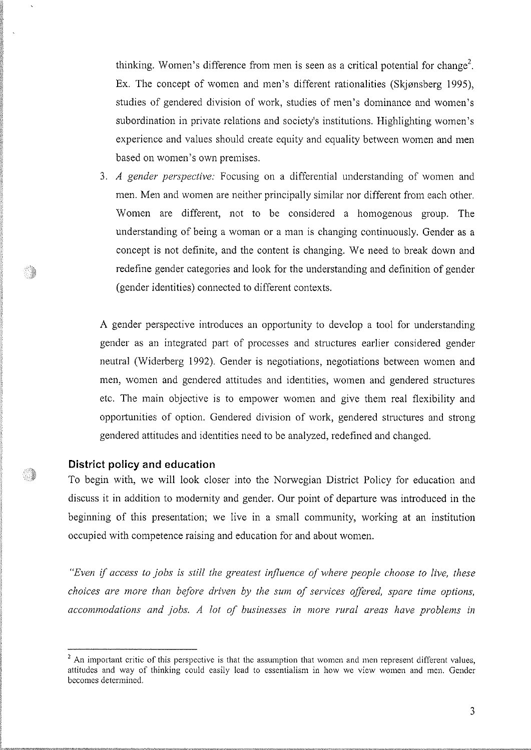thinking. Women's difference from men is seen as a critical potential for change<sup>2</sup>. Ex. The concept of women and men's different rationalities (Skjønsberg 1995), studies of gendered division of work, studies of men's dominance and women's subordination in private relations and society's institutions. Highlighting women's experience and values should create equity and equality between women and men based on women's own premises.

3. A gender perspective; Focusing on a differential understanding of women and men. Men and women are neither principally similar nor different from each other. 'Women are different, not to be considered a homogenous group. The understanding of being a woman or a man is changing continuously. Gender as a concept is not definite, and the content is changing. We need to break down and redefine gender categories and look for the understanding and definition of gender (gender identities) connected to different contexts.

A gender perspective introduces an opportunity to develop a tool for understanding gender as an integrated part of processes and structures earlier considered gender neutral (Widerberg 1992). Gender is negotiations, negotiations between women and men, women and gendered attitudes and identities, women and gendered structures etc. The main objective is to empower women and give them real flexibility and opportunities of option. Gendered division of work, gendered structures and strong gendered attitudes and identities need to be analyzed, redefrned and changed.

## District policy and education

To begin with, we will look closer into the Norwegian District Policy for education and discuss it in addition to modernity and gender. Our point of departure was introduced in the beginning of this presentation; we live in a small community, working at an institution occupied with competence raising and education for and about women.

"Even if access to jobs is still the greatest influence of where people choose to live, these choices are more than before driven by the sum of services offered, spare time options, accommodations and jobs. A lot of businesses in more rural areas have problems in

 $2$  An important critic of this perspective is that the assumption that women and men represent different values, attitudes and way of thinking could easily lead to essentialism in how we view women and men. Gender becomes determined.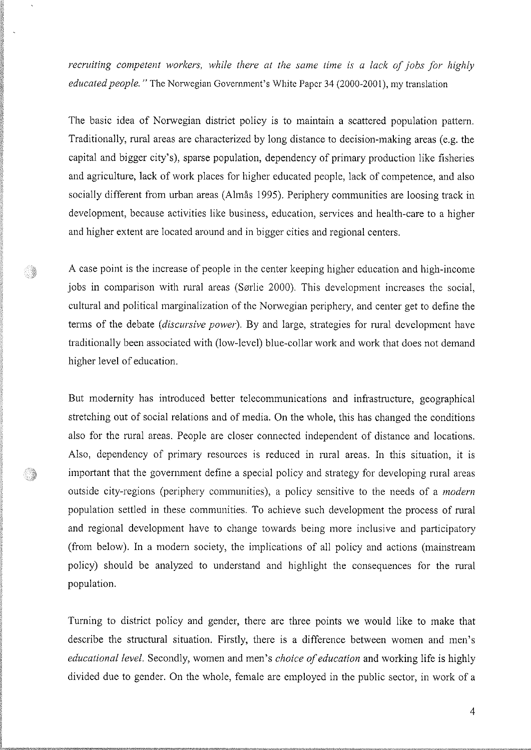recruiting competent workers, while there at the same time is a lack of jobs for highly educated people. " The Norwegian Government's White Paper 34 (2000-2001), my translation

The basic idea of Norwegian district policy is to maintain a scattered population pattern. Traditionally, rural areas are characterized by long distance to decision-making areas (e.g. the capital and bigger city's), sparse population, dependency of primary production like frsheries and agriculture, lack of work places for higher educated people, lack of competence, and also socially different from urban areas (Almås 1995). Periphery communities are loosing track in development, because activities like business, education, services and health-care to a higher and higher extent are located around and in bigger cities and regional centers.

A case point is the increase of people in the center keeping higher education and high-income jobs in comparison with rural areas (Sørlie 2000). This development increases the social, cultural and political marginalization of the Norwegian periphery, and center get to define the terms of the debate (discursive power). By and large, strategies for rural development have traditionally been associated with (low-level) blue-collar work and work that does not demand higher level of education.

Ó,

o)

But modernity has introduced better telecommunications and infrastructure, geographical stretching out of social relations and of media. On the whole, this has changed the conditions also for the rural areas. People are closer connected independent of distance and locations. Also, dependency of primary resources is reduced in rural areas. In this situation, it is important that the government defrne a special policy and strategy for developing rural areas outside city-regions (periphery communities), a policy sensitive to the needs of a *modern* population settled in these communities. To achieve such development the process of rural and regional development have to change towards being more inclusive and participatory (from below). ln a modern society, the implications of all policy and actions (mainstream policy) should be analyzed to understand and highlight the consequences for the rural population.

Turning to district policy and gender, there are three points we would like to make that describe the structural situation. Firstly, there is a difference between women and men's educational level. Secondly, women and men's *choice of education* and working life is highly divided due to gender. On the whole, female are employed in the public sector, in work of a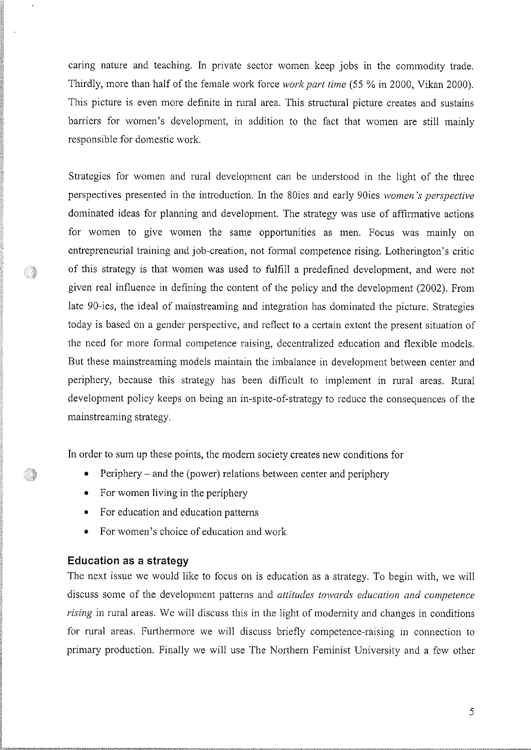caring nature and teaching. In private sector women keep jobs in the commodity trade. Thirdly, more than half of the female work force *work part time* (55 % in 2000, Vikan 2000). This picture is even more definite in rural area. This structural picture creates and sustains barriers for women's development, in addition to the fact that women are still mainly responsible for domestic work.

Strategies for women and rural development can be understood in the light of the three perspectives presented in the introduction. ln the 80ies and early 90ies women's perspective dominated ideas for planning and development. The strategy was use of affirmative actions for women to give women the same opportunities as men. Focus was mainly on entrepreneurial training and job-creation, not formal competence rising. Lotherington's critic of this strategy is that women was used to fillfill a predefined development, and were not given real influence in defining the content of the policy and the development (2002). From late 90-ies, the ideal of mainstreaming and integration has dominated the picture. Strategies today is based on a gender perspective, and reflect to a certain extent the present situation of the need for more formal competence raising, decentralized education and flexible models. But these mainstreaming models maintain the imbalance in development between center and periphery, because this strategy has been difficult to implement in rural areas. Rural development policy keeps on being an in-spite-of-strategy to reduce the consequences of the mainstreaming strategy.

In order to sum up these points, the modern society creates new conditions for

- Periphery and the (power) relations between center and periphery
- For women living in the periphery
- For education and education patterns
- For women's choice of education and work

#### Education as a strategy

l

Ó,

The next issue we would like to focus on is education as a strategy. To begin with, we will discuss some of the development patterns and attitudes towards education and competence rising in rural areas. We will discuss this in the light of modernity and changes in conditions for rural areas. Furthermore we will discuss briefly competence-raising in connection to primary production. Finally we will use The Northern Feminist University and a few other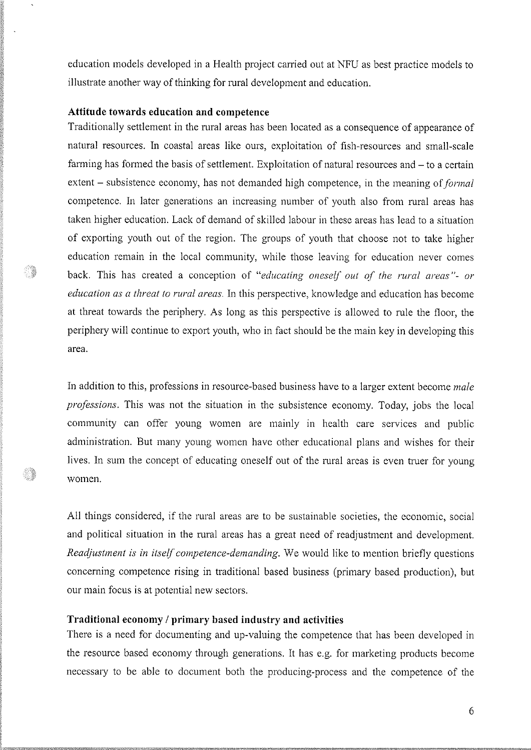education models developed in a Health project carried out at NFU as best practice models to illustrate another way of thinking for rural development and education.

## Attitude towards education and competence

Ñ.

Traditionally settlement in the rural areas has been located as a consequence of appearance of natural resources. ln coastal areas like ours, exploitation of fish-resources and small-scale farming has formed the basis of settlement. Exploitation of natural resources and – to a certain extent – subsistence economy, has not demanded high competence, in the meaning of *formal* competence. ln later generations an increasing number of youth also from rural areas has taken higher education. Lack of demand of skilled labour in these areas has lead to a situation of exporting youth out of the region. The groups of youth that choose not to take higher education remain in the local community, while those leaving for education never comes back. This has created a conception of "educating oneself out of the rural areas"- or education as a threat to rural areas. In this perspective, knowledge and education has become at threat towards the periphery. As long as this perspective is allowed to rule the floor, the periphery will continue to export youth, who in fact should be the main key in developing this area.

In addition to this, professions in resource-based business have to a larger extent become male professions. This was not the situation in the subsistence economy. Today, jobs the local community can offer young women are mainly in health care services and public administration. But many young women have other educational plans and wishes for their lives. In sum the concept of educating oneself out of the rural areas is even truer for young women.

All things considered, if the rural areas are to be sustainable societies, the economic, social and political situation in the rural areas has a great need of readjustment and development. Readjustment is in itself competence-demanding. We would like to mention briefly questions concerning competence rising in traditional based business (primary based production), but our main focus is at potential new sectors.

## Traditional economy / primary based industry and activities

There is a need for documenting and up-valuing the competence that has been developed in the resource based economy through generations. It has e.g. for marketing products become necessary to be able to document both the producing-process and the competence of the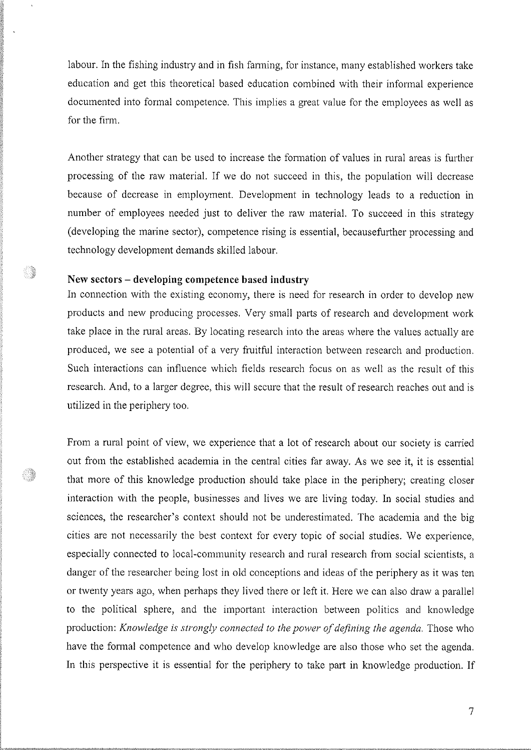labour. In the fishing industry and in fish farming, for instance, many established workers take education and get this theoretical based education combined with their informal experience documented into formal competence. This implies a great value for the employees as well as for the firm.

Another strategy that can be used to increase the formation of values in rural areas is further processing of the raw material. If we do not succeed in this, the population will decrease because of decrease in employment. Development in technology leads to a reduction in number of employees needed just to deliver the raw material. To succeed in this strategy (developing the marine sector), competence rising is essential, becausefurther processing and technology development demands skilled labour.

#### New sectors - developing competence based industry

Ó.

In connection with the existing economy, there is need for research in order to develop new products and new producing processes. Very small parts of research and development work take place in the rural areas. By locating research into the areas where the values actually are produced, we see a potential of a very fruitful interaction between research and production. Such interactions can influence which fields research focus on as well as the result of this research. And, to a larger degree, this will secure that the result of research reaches out and is utilized in the periphery too.

From a rural point of view, we experience that a lot of research about our society is carried out from the established academia in the central cities far away. As we see it, it is essential that more of this knowledge production should take place in the periphery; creating closer interaction with the people, businesses and lives we are living today. In social studies and sciences, the researcher's context should not be underestimated. The academia and the big cities are not necessarily the best context for every topic of social studies. We experience, especially connected to local-community research and rural research from social scientists, a danger of the researcher being lost in old conceptions and ideas of the periphery as it was ten or twenty years ago, when perhaps they lived there or left it. Here we can also draw a parallel to the political sphere, and the important interaction between politics and knowledge production: Knowledge is strongly connected to the power of defining the agenda. Those who have the formal competence and who develop knowledge are also those who set the agenda. In this perspective it is essential for the periphery to take part in knowledge production. If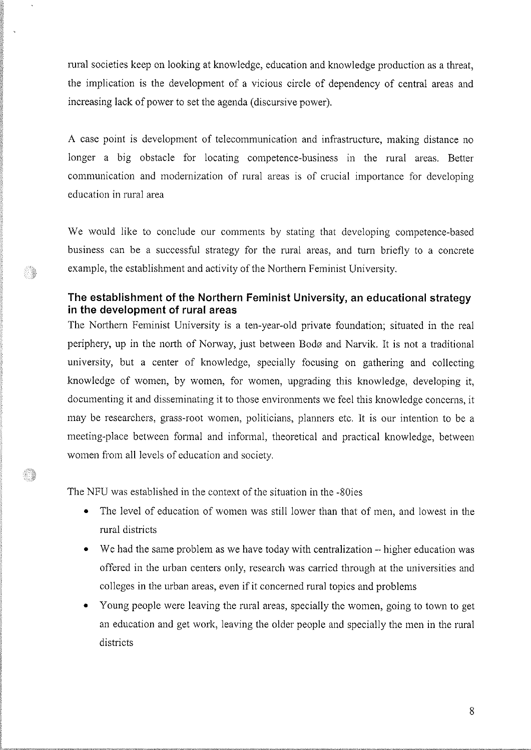rural societies keep on looking at knowledge, education and knowledge production as a threat, the implication is the development of a vicious circle of dependency of central areas and increasing lack of power to set the agenda (discursive power).

A case point is development of telecommunication and infrastructure, making distance no longer a big obstacle for locating competence-business in the rural areas. Better communication and modernization of rural areas is of crucial importance for developing education in rural area

We would like to conclude our comments by stating that developing competence-based business can be a successful strategy for the rural areas, and turn briefly to a concrete  $\mathbb{R}$  example, the establishment and activity of the Northern Feminist University.

# The establishment of the Northern Feminist University, an educational strategy in the development of rural areas

The Northem Feminist University is a ten-year-old private foundation; situated in the real periphery, up in the north of Norway, just between Bodø and Narvik. It is not a traditional university, but a center of knowledge, specially focusing on gathering and collecting knowledge of women, by women, for women, upgrading this knowledge, developing it, documenting it and disseminating it to those environments we feel this knowledge concerns, it may be researchers, grass-root women, politicians, planners etc. It is our intention to be <sup>a</sup> meeting-place between formal and informal, theoretical and practical knowledge, between women from all levels of education and society.

The NFU was established in the context of the situation in the -80ies

- The level of education of women was still lower than that of men, and lowest in the rural districts
- $\bullet$  We had the same problem as we have today with centralization  $-$  higher education was offered in the urban centers only, research was carried through at the universities and colleges in the urban areas, even if it concerned rural topics and problems
- Young people were leaving the rural areas, specially the women, going to town to get an education and get work, leaving the older people and specially the men in the rural districts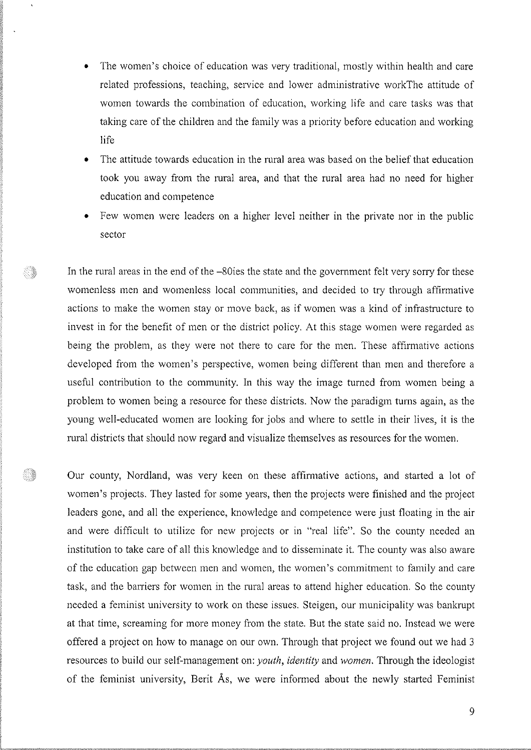- The women's choice of education was very traditional, mostly within health and care related professions, teaching, service and lower administrative workThe attitude of women towards the combination of education, working life and care tasks was that taking care of the children and the family was a priority before education and working life
- The attitude towards education in the rural area was based on the belief that education took you away from the rural area, and that the rural area had no need for higher education and competence
- Few women were leaders on a higher level neither in the private nor in the public sector

)

S.

In the rural areas in the end of the  $-80$ ies the state and the government felt very sorry for these womenless men and womenless local communities, and decided to try through affirmative actions to make the women stay or move back, as if women was a kind of infrastructure to invest in for the benefit of men or the district policy. At this stage women were regarded as being the problem, as they were not there to care for the men. These affrrmative actions developed from the women's perspective, women being different than men and therefore a useful contribution to the community. In this way the image turned from women being a problem to women being a resource for these districts. Now the paradigm turns again, as the young well-educated women are looking for jobs and where to settle in their lives, it is the rural districts that should now regard and visualize themselves as resources for the women.

Our county, Nordland, was very keen on these affirmative actions, and started a lot of women's projects. They lasted for some years, then the projects were finished and the project leaders gone, and all the experience, knowledge and competence were just floating in the air and were diffrcult to utilize for new projects or in "real life". So the county needed an institution to take care of all this knowledge and to disseminate it. The county was also aware of the education gap between men and women, the women's commitment to family and care task, and the barriers for women in the rural areas to attend higher education. So the county needed a feminist university to work on these issues. Steigen, our municipality was bankrupt at that time, screaming for more money from the state. But the state said no. Instead we were offered a project on how to manage on our own. Through that project we found out we had 3 resources to build our self-management on: *youth, identity* and *women*. Through the ideologist of the feminist university, Berit Ås, we were informed about the newly started Feminist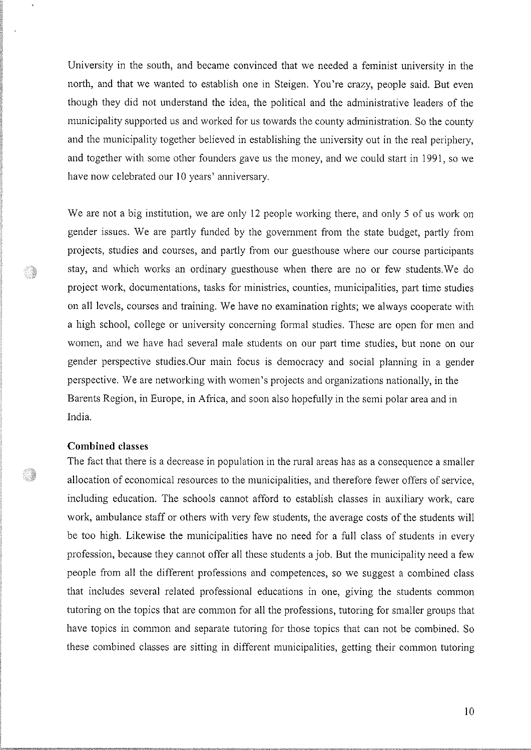University in the south, and became convinced that we needed a feminist university in the north, and that we wanted to establish one in Steigen. You're crazy, people said. But even though they did not understand the idea, the political and the administrative leaders of the municipality supported us and worked for us towards the county administration. So the county and the municipality together believed in establishing the university out in the real periphery, and together with some other founders gave us the money, and we could start in 1991, so we have now celebrated our 10 years' anniversary,

We are not a big institution, we are only 12 people working there, and only 5 of us work on gender issues. We are partly funded by the government from the state budget, partly from projects, studies and courses, and partly from our guesthouse where our course participants stay, and which works an ordinary guesthouse when there are no or few students.We do project work, documentations, tasks for ministries, counties, municipalities, part time studies on all levels, courses and training.We have no examination rights; we always cooperate with a high school, college or university concerning formal studies. These are open for men and women, and we have had several male students on our part time sfudies, but none on our gender perspective studies.Our main focus is democracy and social planning in a gender perspective. We are networking with women's projects and organizations nationally, in the Barents Region, in Europe, in Africa, and soon also hopefully in the semi polar area and in India.

## Combined classes

Ó,

o)

The fact that there is a decrease in population in the rural areas has as a consequence a smaller allocation of economical resources to the municipalities, and therefore fewer offers of service, including education. The schools cannot afford to establish classes in auxiliary work, care work, ambulance staff or others with very few students, the average costs of the students will be too high. Likewise the municipalities have no need for a full class of students in every profession, because they cannot offer all these students a job. But the municipality need a few people from all the different professions and competences, so we suggest a combined class that includes several related professional educations in one, giving the students common tutoring on the topics that are common for all the professions, tutoring for smaller groups that have topics in common and separate tutoring for those topics that can not be combined. So these combined classes are sitting in different municipalities, getting their common tutoring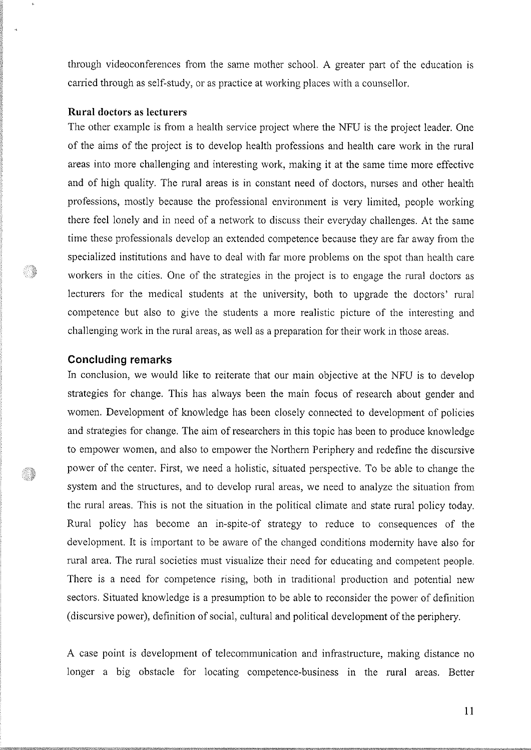through videoconferences from the same mother school. A greater part of the education is carried through as self-study, or as practice at working places with a counsellor.

#### Rural doctors as lecturers

The other example is from a health service project where the NFU is the project leader. One of the aims of the project is to develop health professions and health care work in the rural areas into more challenging and interesting work, making it at the same time more effective and of high quality. The rural areas is in constant need of doctors, nurses and other health professions, mostly because the professional environment is very limited, people working there feel lonely and in need of a network to discuss their everyday challenges. At the same time these professionals develop an extended competence because they are far away from the specialized institutions and have to deal with far more problems on the spot than health care workers in the cities. One of the strategies in the project is to engage the rural doctors as lecturers for the medical students at the university, both to upgrade the doctors' rural competence but also to give the students a more realistic picture of the interesting and challenging work in the rural areas, as well as a preparation for their work in those areas.

## Goncluding remarks

:)

O)

In conclusion, we would like to reiterate that our main objective at the NFU is to develop strategies for change. This has always been the main focus of research about gender and women. Development of knowledge has been closely connected to development of policies and strategies for change. The aim of researchers in this topic has been to produce knowledge to empower women, and also to empower the Northern Periphery and redefine the discursive power of the center. First, we need a holistic, situated perspective. To be able to change the system and the structures, and to develop rural areas, we need to analyze the situation from the rural areas. This is not the situation in the political climate and state rural policy today. Rural policy has become an in-spite-of strategy to reduce to consequences of the development. It is important to be aware of the changed conditions modernity have also for rural area. The rural societies must visualize their need for educating and competent people. There is a need for competence rising, both in traditional production and potential new sectors. Situated knowledge is a presumption to be able to reconsider the power of definition (discursive power), defrnition of social, cultural and political development of the periphery.

A case point is development of telecommunication and infrastructure, making distance no longer a big obstacle for locating competence-business in the rural areas. Better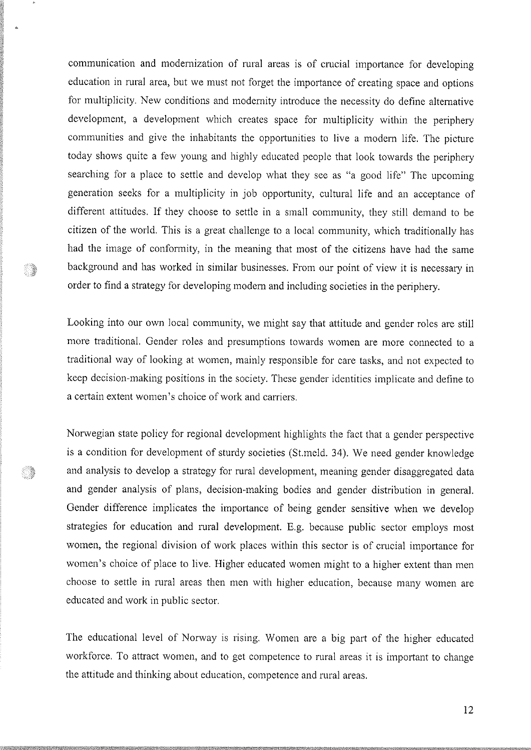communication and modernization of rural areas is of crucial importance for developing education in rural area, but we must not forget the importance of creating space and options for multiplicity. New conditions and modernity introduce the necessity do define alternative development, a development which creates space for multiplicity within the periphery communities and give the inhabitants the opportunities to live a modem life. The picture today shows quite a few young and highly educated people that look towards the periphery searching for a place to settle and develop what they see as "a good life" The upcoming generation seeks for a multiplicity in job opportunity, cultural life and an acceptance of different attitudes. If they choose to settle in a small community, they still demand to be citizen of the world. This is a great challenge to a local community, which traditionally has had the image of conformity, in the meaning that most of the citizens have had the same background and has worked in similar businesses. From our point of view it is necessary in order to find a strategy for developing modern and including societies in the periphery.

Looking into our own local community, we might say that attitude and gender roles are still more traditional. Gender roles and presumptions towards women are more connected to <sup>a</sup> traditional way of looking at women, mainly responsible for care tasks, and not expected to keep decision-making positions in the society. These gender identities implicate and define to a certain extent women's choice of work and carriers.

Norwegian state policy for regional development highlights the fact that a gender perspective is a condition for development of sturdy societies (St.meld. 34). We need gender knowledge and analysis to develop a strategy for rural development, meaning gender disaggregated data and gender analysis of plans, decision-making bodies and gender distribution in general. Gender difference implicates the importance of being gender sensitive when we develop strategies for education and rural development. E.g. because public sector employs most women, the regional division of work places within this sector is of crucial importance for women's choice of place to live. Higher educated women might to a higher extent than men choose to settle in rural areas then men with higher education, because many women are educated and work in public sector.

)

.

The educational level of Norway is rising. Women are a big part of the higher educated workforce. To attract women, and to get competence to rural areas it is important to change the attitude and thinking about education, competence and rural areas.

12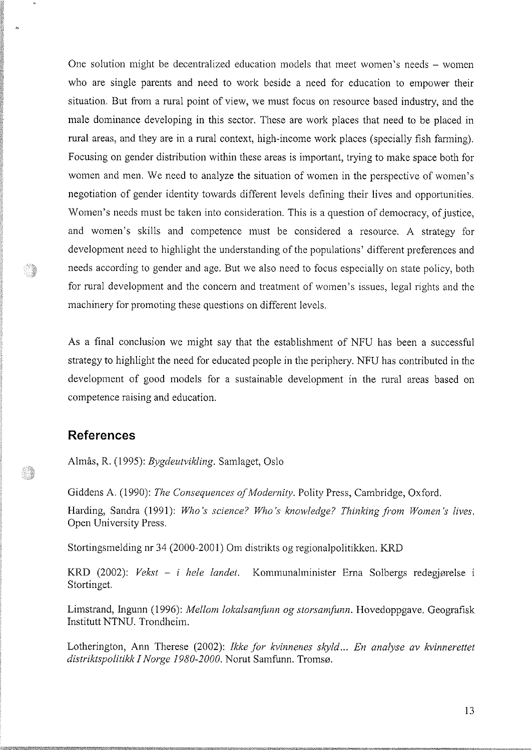One solution might be decentralized education models that meet women's needs – women who are single parents and need to work beside a need for education to empower their situation. But from a rural point of view, we must focus on resource based industry, and the male dominance developing in this sector. These are work places that need to be placed in rural areas, and they are in a rural context, high-income work places (specially fish farming). Focusing on gender distribution within these areas is important, trying to make space both for women and men. We need to analyze the situation of women in the perspective of women's negotiation of gender identity towards different levels defining their lives and opportunities. 'Women's needs must be taken into consideration. This is a question of democracy, of justice, and women's skills and competence must be considered a resource. A strategy for development need to highlight the understanding of the populations' different preferences and needs according to gender and age. But we also need to focus especially on state policy, both for rural development and the concern and treatment of women's issues, legal rights and the machinery for promoting these questions on different levels.

As a final conclusion we might say that the establishment of NFU has been a successful strategy to highlight the need for educated people in the periphery. NFU has contributed in the development of good models for a sustainable development in the rural areas based on competence raising and education.

# References

)

o,

Almås, R. (1995): Bygdeutvikling. Samlaget, Oslo

Giddens A. (1990): The Consequences of Modernity. Polity Press, Cambridge, Oxford.

Harding, Sandra (1991): Who's science? Who's knowledge? Thinking from Women's lives. Open University Press.

Stortingsmelding nr 34 (2000-2001) Om distrikts og regionalpolitikken. KRD

KRD (2002): Vekst - i hele landet. Kommunalminister Erna Solbergs redegjørelse i Stortinget.

Limstrand, lngunn (1996): Mellom lokalsamfunn og storsamfunn. Hovedoppgave. Geografisk Institutt NTNU. Trondheim.

Lotherington, Ann Therese (2002): Ikke for kvinnenes skyld... En analyse av kvinnerettet distriktspolitikk I Norge 1980-2000. Norut Samfunn. Tromsø.